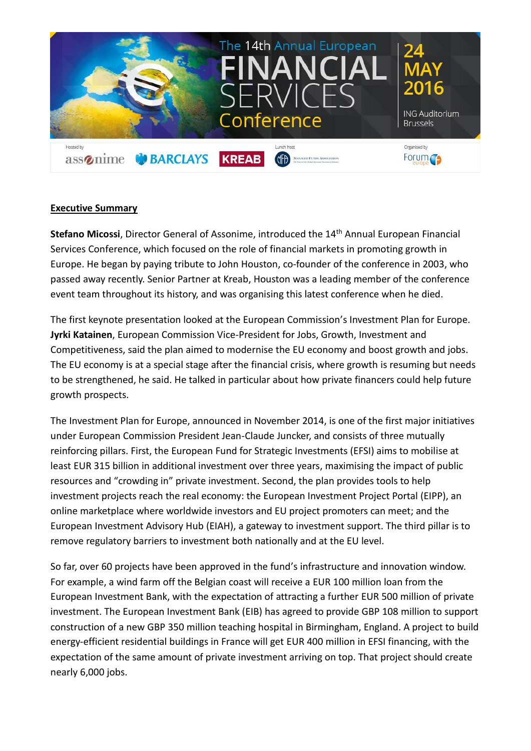

## **Executive Summary**

**Stefano Micossi**, Director General of Assonime, introduced the 14<sup>th</sup> Annual European Financial Services Conference, which focused on the role of financial markets in promoting growth in Europe. He began by paying tribute to John Houston, co-founder of the conference in 2003, who passed away recently. Senior Partner at Kreab, Houston was a leading member of the conference event team throughout its history, and was organising this latest conference when he died.

The first keynote presentation looked at the European Commission's Investment Plan for Europe. **Jyrki Katainen**, European Commission Vice-President for Jobs, Growth, Investment and Competitiveness, said the plan aimed to modernise the EU economy and boost growth and jobs. The EU economy is at a special stage after the financial crisis, where growth is resuming but needs to be strengthened, he said. He talked in particular about how private financers could help future growth prospects.

The Investment Plan for Europe, announced in November 2014, is one of the first major initiatives under European Commission President Jean-Claude Juncker, and consists of three mutually reinforcing pillars. First, the European Fund for Strategic Investments (EFSI) aims to mobilise at least EUR 315 billion in additional investment over three years, maximising the impact of public resources and "crowding in" private investment. Second, the plan provides tools to help investment projects reach the real economy: the European Investment Project Portal (EIPP), an online marketplace where worldwide investors and EU project promoters can meet; and the European Investment Advisory Hub (EIAH), a gateway to investment support. The third pillar is to remove regulatory barriers to investment both nationally and at the EU level.

So far, over 60 projects have been approved in the fund's infrastructure and innovation window. For example, a wind farm off the Belgian coast will receive a EUR 100 million loan from the European Investment Bank, with the expectation of attracting a further EUR 500 million of private investment. The European Investment Bank (EIB) has agreed to provide GBP 108 million to support construction of a new GBP 350 million teaching hospital in Birmingham, England. A project to build energy-efficient residential buildings in France will get EUR 400 million in EFSI financing, with the expectation of the same amount of private investment arriving on top. That project should create nearly 6,000 jobs.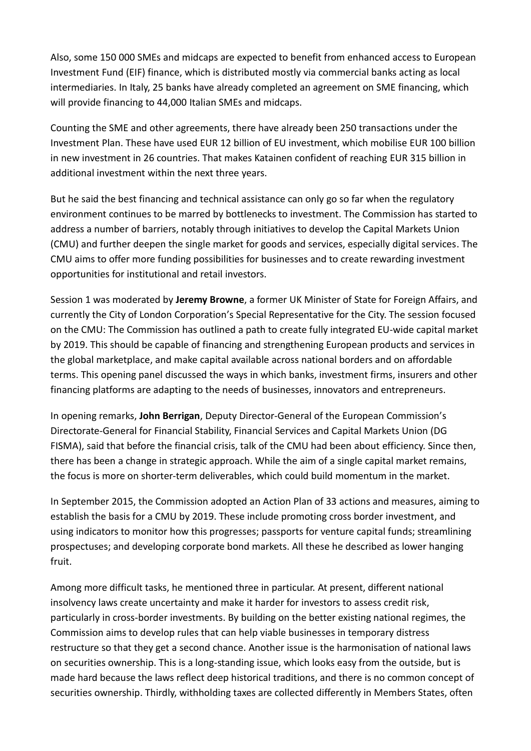Also, some 150 000 SMEs and midcaps are expected to benefit from enhanced access to European Investment Fund (EIF) finance, which is distributed mostly via commercial banks acting as local intermediaries. In Italy, 25 banks have already completed an agreement on SME financing, which will provide financing to 44,000 Italian SMEs and midcaps.

Counting the SME and other agreements, there have already been 250 transactions under the Investment Plan. These have used EUR 12 billion of EU investment, which mobilise EUR 100 billion in new investment in 26 countries. That makes Katainen confident of reaching EUR 315 billion in additional investment within the next three years.

But he said the best financing and technical assistance can only go so far when the regulatory environment continues to be marred by bottlenecks to investment. The Commission has started to address a number of barriers, notably through initiatives to develop the Capital Markets Union (CMU) and further deepen the single market for goods and services, especially digital services. The CMU aims to offer more funding possibilities for businesses and to create rewarding investment opportunities for institutional and retail investors.

Session 1 was moderated by **Jeremy Browne**, a former UK Minister of State for Foreign Affairs, and currently the City of London Corporation's Special Representative for the City. The session focused on the CMU: The Commission has outlined a path to create fully integrated EU-wide capital market by 2019. This should be capable of financing and strengthening European products and services in the global marketplace, and make capital available across national borders and on affordable terms. This opening panel discussed the ways in which banks, investment firms, insurers and other financing platforms are adapting to the needs of businesses, innovators and entrepreneurs.

In opening remarks, **John Berrigan**, Deputy Director-General of the European Commission's Directorate-General for Financial Stability, Financial Services and Capital Markets Union (DG FISMA), said that before the financial crisis, talk of the CMU had been about efficiency. Since then, there has been a change in strategic approach. While the aim of a single capital market remains, the focus is more on shorter-term deliverables, which could build momentum in the market.

In September 2015, the Commission adopted an Action Plan of 33 actions and measures, aiming to establish the basis for a CMU by 2019. These include promoting cross border investment, and using indicators to monitor how this progresses; passports for venture capital funds; streamlining prospectuses; and developing corporate bond markets. All these he described as lower hanging fruit.

Among more difficult tasks, he mentioned three in particular. At present, different national insolvency laws create uncertainty and make it harder for investors to assess credit risk, particularly in cross-border investments. By building on the better existing national regimes, the Commission aims to develop rules that can help viable businesses in temporary distress restructure so that they get a second chance. Another issue is the harmonisation of national laws on securities ownership. This is a long-standing issue, which looks easy from the outside, but is made hard because the laws reflect deep historical traditions, and there is no common concept of securities ownership. Thirdly, withholding taxes are collected differently in Members States, often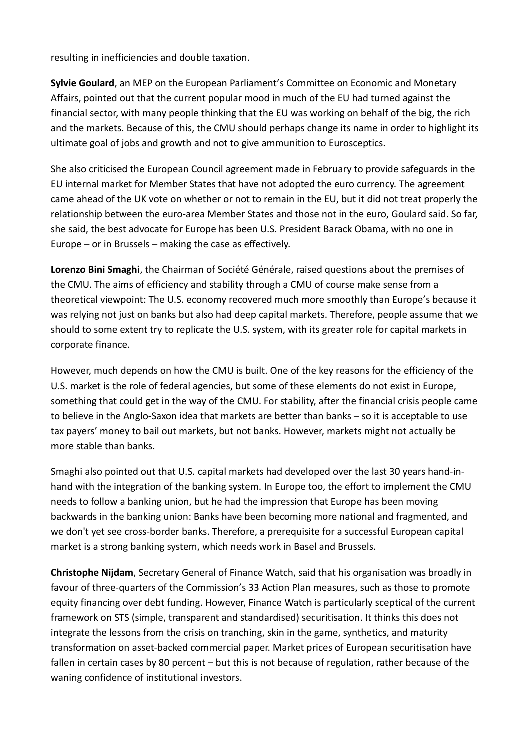resulting in inefficiencies and double taxation.

**Sylvie Goulard**, an MEP on the European Parliament's Committee on Economic and Monetary Affairs, pointed out that the current popular mood in much of the EU had turned against the financial sector, with many people thinking that the EU was working on behalf of the big, the rich and the markets. Because of this, the CMU should perhaps change its name in order to highlight its ultimate goal of jobs and growth and not to give ammunition to Eurosceptics.

She also criticised the European Council agreement made in February to provide safeguards in the EU internal market for Member States that have not adopted the euro currency. The agreement came ahead of the UK vote on whether or not to remain in the EU, but it did not treat properly the relationship between the euro-area Member States and those not in the euro, Goulard said. So far, she said, the best advocate for Europe has been U.S. President Barack Obama, with no one in Europe – or in Brussels – making the case as effectively.

**Lorenzo Bini Smaghi**, the Chairman of Société Générale, raised questions about the premises of the CMU. The aims of efficiency and stability through a CMU of course make sense from a theoretical viewpoint: The U.S. economy recovered much more smoothly than Europe's because it was relying not just on banks but also had deep capital markets. Therefore, people assume that we should to some extent try to replicate the U.S. system, with its greater role for capital markets in corporate finance.

However, much depends on how the CMU is built. One of the key reasons for the efficiency of the U.S. market is the role of federal agencies, but some of these elements do not exist in Europe, something that could get in the way of the CMU. For stability, after the financial crisis people came to believe in the Anglo-Saxon idea that markets are better than banks – so it is acceptable to use tax payers' money to bail out markets, but not banks. However, markets might not actually be more stable than banks.

Smaghi also pointed out that U.S. capital markets had developed over the last 30 years hand-inhand with the integration of the banking system. In Europe too, the effort to implement the CMU needs to follow a banking union, but he had the impression that Europe has been moving backwards in the banking union: Banks have been becoming more national and fragmented, and we don't yet see cross-border banks. Therefore, a prerequisite for a successful European capital market is a strong banking system, which needs work in Basel and Brussels.

**Christophe Nijdam**, Secretary General of Finance Watch, said that his organisation was broadly in favour of three-quarters of the Commission's 33 Action Plan measures, such as those to promote equity financing over debt funding. However, Finance Watch is particularly sceptical of the current framework on STS (simple, transparent and standardised) securitisation. It thinks this does not integrate the lessons from the crisis on tranching, skin in the game, synthetics, and maturity transformation on asset-backed commercial paper. Market prices of European securitisation have fallen in certain cases by 80 percent – but this is not because of regulation, rather because of the waning confidence of institutional investors.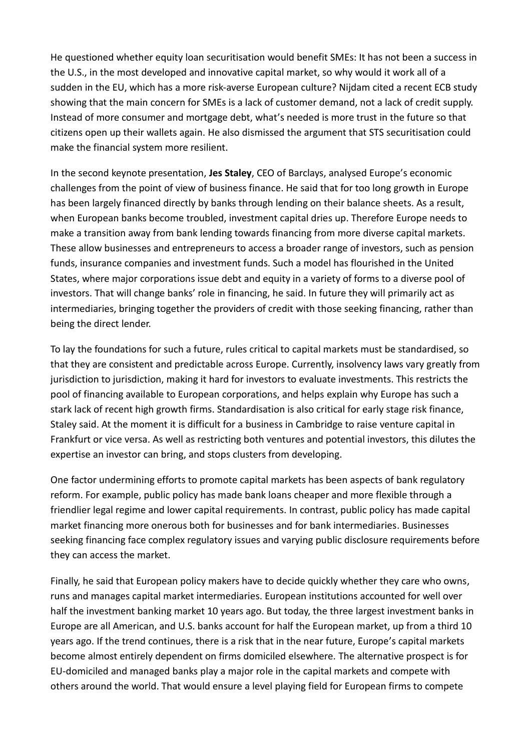He questioned whether equity loan securitisation would benefit SMEs: It has not been a success in the U.S., in the most developed and innovative capital market, so why would it work all of a sudden in the EU, which has a more risk-averse European culture? Nijdam cited a recent ECB study showing that the main concern for SMEs is a lack of customer demand, not a lack of credit supply. Instead of more consumer and mortgage debt, what's needed is more trust in the future so that citizens open up their wallets again. He also dismissed the argument that STS securitisation could make the financial system more resilient.

In the second keynote presentation, **Jes Staley**, CEO of Barclays, analysed Europe's economic challenges from the point of view of business finance. He said that for too long growth in Europe has been largely financed directly by banks through lending on their balance sheets. As a result, when European banks become troubled, investment capital dries up. Therefore Europe needs to make a transition away from bank lending towards financing from more diverse capital markets. These allow businesses and entrepreneurs to access a broader range of investors, such as pension funds, insurance companies and investment funds. Such a model has flourished in the United States, where major corporations issue debt and equity in a variety of forms to a diverse pool of investors. That will change banks' role in financing, he said. In future they will primarily act as intermediaries, bringing together the providers of credit with those seeking financing, rather than being the direct lender.

To lay the foundations for such a future, rules critical to capital markets must be standardised, so that they are consistent and predictable across Europe. Currently, insolvency laws vary greatly from jurisdiction to jurisdiction, making it hard for investors to evaluate investments. This restricts the pool of financing available to European corporations, and helps explain why Europe has such a stark lack of recent high growth firms. Standardisation is also critical for early stage risk finance, Staley said. At the moment it is difficult for a business in Cambridge to raise venture capital in Frankfurt or vice versa. As well as restricting both ventures and potential investors, this dilutes the expertise an investor can bring, and stops clusters from developing.

One factor undermining efforts to promote capital markets has been aspects of bank regulatory reform. For example, public policy has made bank loans cheaper and more flexible through a friendlier legal regime and lower capital requirements. In contrast, public policy has made capital market financing more onerous both for businesses and for bank intermediaries. Businesses seeking financing face complex regulatory issues and varying public disclosure requirements before they can access the market.

Finally, he said that European policy makers have to decide quickly whether they care who owns, runs and manages capital market intermediaries. European institutions accounted for well over half the investment banking market 10 years ago. But today, the three largest investment banks in Europe are all American, and U.S. banks account for half the European market, up from a third 10 years ago. If the trend continues, there is a risk that in the near future, Europe's capital markets become almost entirely dependent on firms domiciled elsewhere. The alternative prospect is for EU-domiciled and managed banks play a major role in the capital markets and compete with others around the world. That would ensure a level playing field for European firms to compete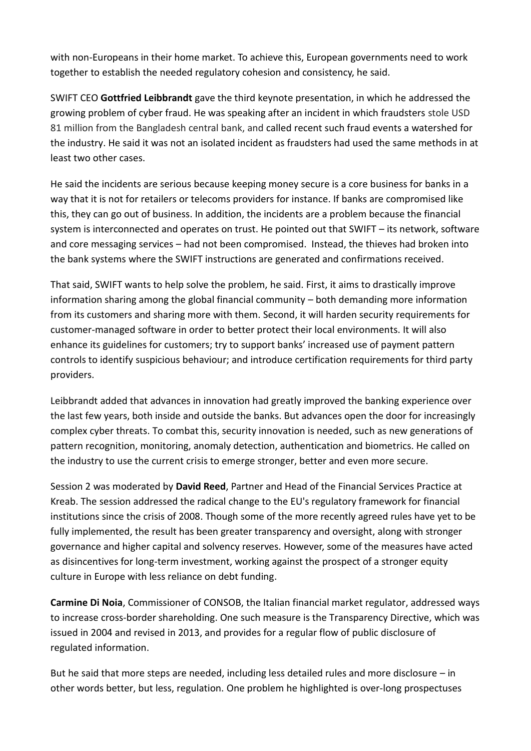with non-Europeans in their home market. To achieve this, European governments need to work together to establish the needed regulatory cohesion and consistency, he said.

SWIFT CEO **Gottfried Leibbrandt** gave the third keynote presentation, in which he addressed the growing problem of cyber fraud. He was speaking after an incident in which fraudsters stole USD 81 million from the Bangladesh central bank, and called recent such fraud events a watershed for the industry. He said it was not an isolated incident as fraudsters had used the same methods in at least two other cases.

He said the incidents are serious because keeping money secure is a core business for banks in a way that it is not for retailers or telecoms providers for instance. If banks are compromised like this, they can go out of business. In addition, the incidents are a problem because the financial system is interconnected and operates on trust. He pointed out that SWIFT – its network, software and core messaging services – had not been compromised. Instead, the thieves had broken into the bank systems where the SWIFT instructions are generated and confirmations received.

That said, SWIFT wants to help solve the problem, he said. First, it aims to drastically improve information sharing among the global financial community – both demanding more information from its customers and sharing more with them. Second, it will harden security requirements for customer-managed software in order to better protect their local environments. It will also enhance its guidelines for customers; try to support banks' increased use of payment pattern controls to identify suspicious behaviour; and introduce certification requirements for third party providers.

Leibbrandt added that advances in innovation had greatly improved the banking experience over the last few years, both inside and outside the banks. But advances open the door for increasingly complex cyber threats. To combat this, security innovation is needed, such as new generations of pattern recognition, monitoring, anomaly detection, authentication and biometrics. He called on the industry to use the current crisis to emerge stronger, better and even more secure.

Session 2 was moderated by **David Reed**, Partner and Head of the Financial Services Practice at Kreab. The session addressed the radical change to the EU's regulatory framework for financial institutions since the crisis of 2008. Though some of the more recently agreed rules have yet to be fully implemented, the result has been greater transparency and oversight, along with stronger governance and higher capital and solvency reserves. However, some of the measures have acted as disincentives for long-term investment, working against the prospect of a stronger equity culture in Europe with less reliance on debt funding.

**Carmine Di Noia**, Commissioner of CONSOB, the Italian financial market regulator, addressed ways to increase cross-border shareholding. One such measure is the Transparency Directive, which was issued in 2004 and revised in 2013, and provides for a regular flow of public disclosure of regulated information.

But he said that more steps are needed, including less detailed rules and more disclosure – in other words better, but less, regulation. One problem he highlighted is over-long prospectuses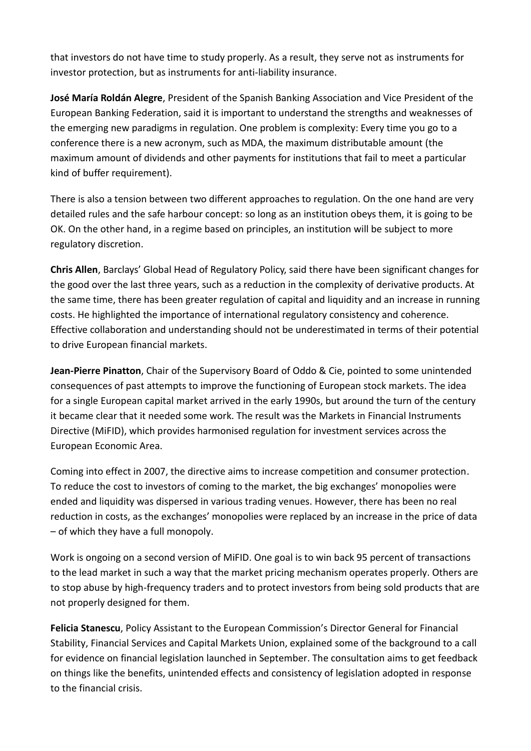that investors do not have time to study properly. As a result, they serve not as instruments for investor protection, but as instruments for anti-liability insurance.

**José María Roldán Alegre**, President of the Spanish Banking Association and Vice President of the European Banking Federation, said it is important to understand the strengths and weaknesses of the emerging new paradigms in regulation. One problem is complexity: Every time you go to a conference there is a new acronym, such as MDA, the maximum distributable amount (the maximum amount of dividends and other payments for institutions that fail to meet a particular kind of buffer requirement).

There is also a tension between two different approaches to regulation. On the one hand are very detailed rules and the safe harbour concept: so long as an institution obeys them, it is going to be OK. On the other hand, in a regime based on principles, an institution will be subject to more regulatory discretion.

**Chris Allen**, Barclays' Global Head of Regulatory Policy, said there have been significant changes for the good over the last three years, such as a reduction in the complexity of derivative products. At the same time, there has been greater regulation of capital and liquidity and an increase in running costs. He highlighted the importance of international regulatory consistency and coherence. Effective collaboration and understanding should not be underestimated in terms of their potential to drive European financial markets.

**Jean-Pierre Pinatton**, Chair of the Supervisory Board of Oddo & Cie, pointed to some unintended consequences of past attempts to improve the functioning of European stock markets. The idea for a single European capital market arrived in the early 1990s, but around the turn of the century it became clear that it needed some work. The result was the Markets in Financial Instruments Directive (MiFID), which provides harmonised regulation for investment services across the European Economic Area.

Coming into effect in 2007, the directive aims to increase competition and consumer protection. To reduce the cost to investors of coming to the market, the big exchanges' monopolies were ended and liquidity was dispersed in various trading venues. However, there has been no real reduction in costs, as the exchanges' monopolies were replaced by an increase in the price of data – of which they have a full monopoly.

Work is ongoing on a second version of MiFID. One goal is to win back 95 percent of transactions to the lead market in such a way that the market pricing mechanism operates properly. Others are to stop abuse by high-frequency traders and to protect investors from being sold products that are not properly designed for them.

**Felicia Stanescu**, Policy Assistant to the European Commission's Director General for Financial Stability, Financial Services and Capital Markets Union, explained some of the background to a call for evidence on financial legislation launched in September. The consultation aims to get feedback on things like the benefits, unintended effects and consistency of legislation adopted in response to the financial crisis.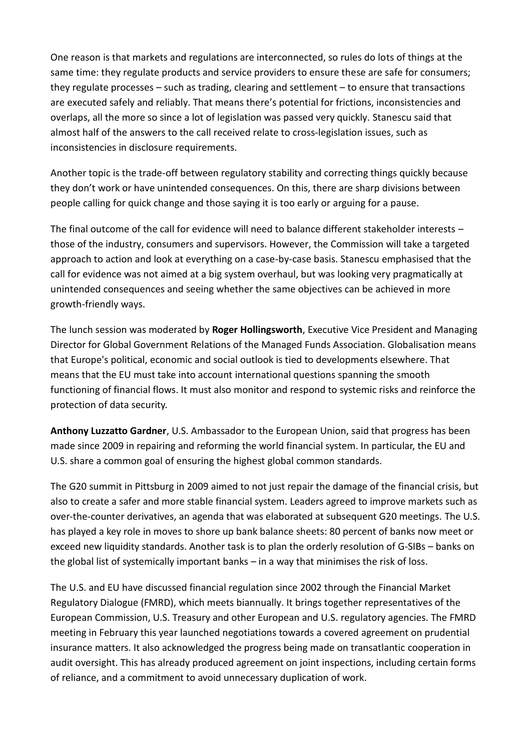One reason is that markets and regulations are interconnected, so rules do lots of things at the same time: they regulate products and service providers to ensure these are safe for consumers; they regulate processes – such as trading, clearing and settlement – to ensure that transactions are executed safely and reliably. That means there's potential for frictions, inconsistencies and overlaps, all the more so since a lot of legislation was passed very quickly. Stanescu said that almost half of the answers to the call received relate to cross-legislation issues, such as inconsistencies in disclosure requirements.

Another topic is the trade-off between regulatory stability and correcting things quickly because they don't work or have unintended consequences. On this, there are sharp divisions between people calling for quick change and those saying it is too early or arguing for a pause.

The final outcome of the call for evidence will need to balance different stakeholder interests – those of the industry, consumers and supervisors. However, the Commission will take a targeted approach to action and look at everything on a case-by-case basis. Stanescu emphasised that the call for evidence was not aimed at a big system overhaul, but was looking very pragmatically at unintended consequences and seeing whether the same objectives can be achieved in more growth-friendly ways.

The lunch session was moderated by **Roger Hollingsworth**, Executive Vice President and Managing Director for Global Government Relations of the Managed Funds Association. Globalisation means that Europe's political, economic and social outlook is tied to developments elsewhere. That means that the EU must take into account international questions spanning the smooth functioning of financial flows. It must also monitor and respond to systemic risks and reinforce the protection of data security.

**Anthony Luzzatto Gardner**, U.S. Ambassador to the European Union, said that progress has been made since 2009 in repairing and reforming the world financial system. In particular, the EU and U.S. share a common goal of ensuring the highest global common standards.

The G20 summit in Pittsburg in 2009 aimed to not just repair the damage of the financial crisis, but also to create a safer and more stable financial system. Leaders agreed to improve markets such as over-the-counter derivatives, an agenda that was elaborated at subsequent G20 meetings. The U.S. has played a key role in moves to shore up bank balance sheets: 80 percent of banks now meet or exceed new liquidity standards. Another task is to plan the orderly resolution of G-SIBs – banks on the global list of systemically important banks – in a way that minimises the risk of loss.

The U.S. and EU have discussed financial regulation since 2002 through the Financial Market Regulatory Dialogue (FMRD), which meets biannually. It brings together representatives of the European Commission, U.S. Treasury and other European and U.S. regulatory agencies. The FMRD meeting in February this year launched negotiations towards a covered agreement on prudential insurance matters. It also acknowledged the progress being made on transatlantic cooperation in audit oversight. This has already produced agreement on joint inspections, including certain forms of reliance, and a commitment to avoid unnecessary duplication of work.